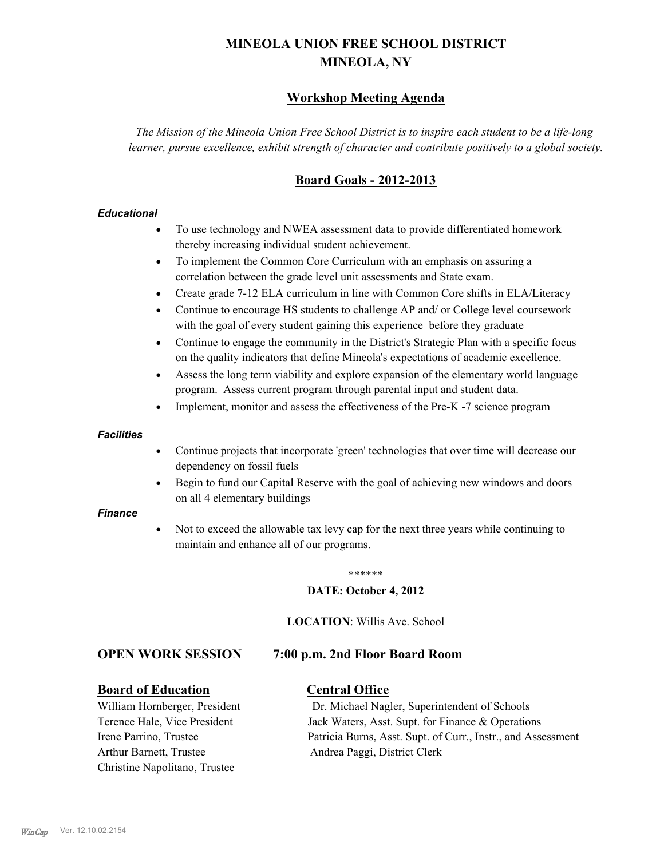# **MINEOLA UNION FREE SCHOOL DISTRICT MINEOLA, NY**

# **Workshop Meeting Agenda**

*The Mission of the Mineola Union Free School District is to inspire each student to be a life-long learner, pursue excellence, exhibit strength of character and contribute positively to a global society.*

# **Board Goals - 2012-2013**

### *Educational*

- · To use technology and NWEA assessment data to provide differentiated homework thereby increasing individual student achievement.
- · To implement the Common Core Curriculum with an emphasis on assuring a correlation between the grade level unit assessments and State exam.
- Create grade 7-12 ELA curriculum in line with Common Core shifts in ELA/Literacy
- Continue to encourage HS students to challenge AP and/ or College level coursework with the goal of every student gaining this experience before they graduate
- · Continue to engage the community in the District's Strategic Plan with a specific focus on the quality indicators that define Mineola's expectations of academic excellence.
- Assess the long term viability and explore expansion of the elementary world language program. Assess current program through parental input and student data.
- Implement, monitor and assess the effectiveness of the Pre-K -7 science program

### *Facilities*

- · Continue projects that incorporate 'green' technologies that over time will decrease our dependency on fossil fuels
- Begin to fund our Capital Reserve with the goal of achieving new windows and doors on all 4 elementary buildings

### *Finance*

Not to exceed the allowable tax levy cap for the next three years while continuing to maintain and enhance all of our programs.

### \*\*\*\*\*\*

### **DATE: October 4, 2012**

**LOCATION**: Willis Ave. School

## **OPEN WORK SESSION 7:00 p.m. 2nd Floor Board Room**

## **Board of Education Central Office**

Arthur Barnett, Trustee Andrea Paggi, District Clerk Christine Napolitano, Trustee

William Hornberger, President Dr. Michael Nagler, Superintendent of Schools Terence Hale, Vice President Jack Waters, Asst. Supt. for Finance & Operations Irene Parrino, Trustee Patricia Burns, Asst. Supt. of Curr., Instr., and Assessment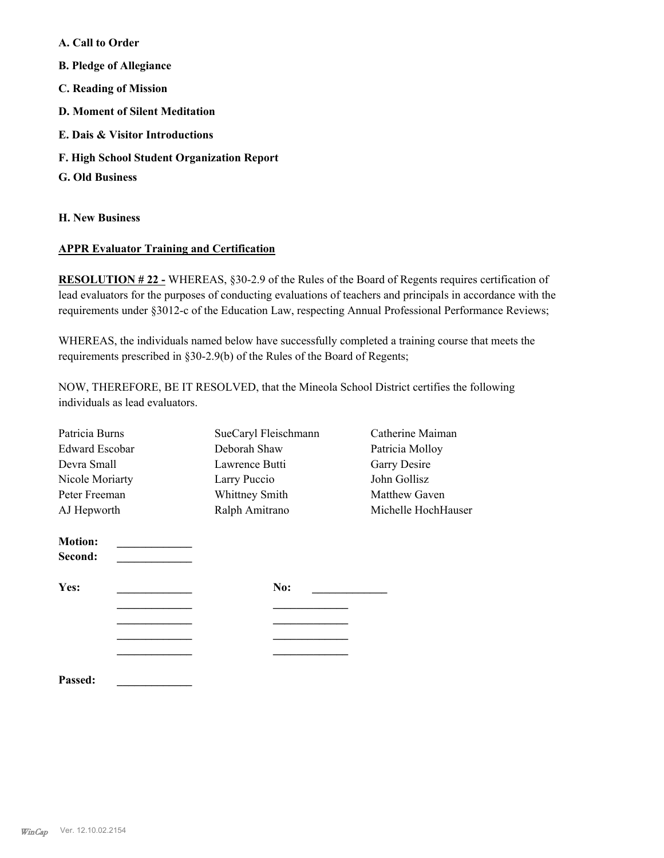- **A. Call to Order**
- **B. Pledge of Allegiance**
- **C. Reading of Mission**
- **D. Moment of Silent Meditation**
- **E. Dais & Visitor Introductions**
- **F. High School Student Organization Report**
- **G. Old Business**
- **H. New Business**

## **APPR Evaluator Training and Certification**

**RESOLUTION # 22 -** WHEREAS, §30-2.9 of the Rules of the Board of Regents requires certification of lead evaluators for the purposes of conducting evaluations of teachers and principals in accordance with the requirements under §3012-c of the Education Law, respecting Annual Professional Performance Reviews;

WHEREAS, the individuals named below have successfully completed a training course that meets the requirements prescribed in §30-2.9(b) of the Rules of the Board of Regents;

NOW, THEREFORE, BE IT RESOLVED, that the Mineola School District certifies the following individuals as lead evaluators.

| Patricia Burns        |  |                | SueCaryl Fleischmann | Catherine Maiman     |
|-----------------------|--|----------------|----------------------|----------------------|
| <b>Edward Escobar</b> |  | Deborah Shaw   |                      | Patricia Molloy      |
| Devra Small           |  | Lawrence Butti |                      | Garry Desire         |
| Nicole Moriarty       |  | Larry Puccio   |                      | John Gollisz         |
| Peter Freeman         |  | Whittney Smith |                      | Matthew Gaven        |
| AJ Hepworth           |  | Ralph Amitrano |                      | Michelle Hoch Hauser |
| <b>Motion:</b>        |  |                |                      |                      |
| Second:               |  |                |                      |                      |
| Yes:                  |  |                | No:                  |                      |
|                       |  |                |                      |                      |
|                       |  |                |                      |                      |
|                       |  |                |                      |                      |
|                       |  |                |                      |                      |
| <b>Passed:</b>        |  |                |                      |                      |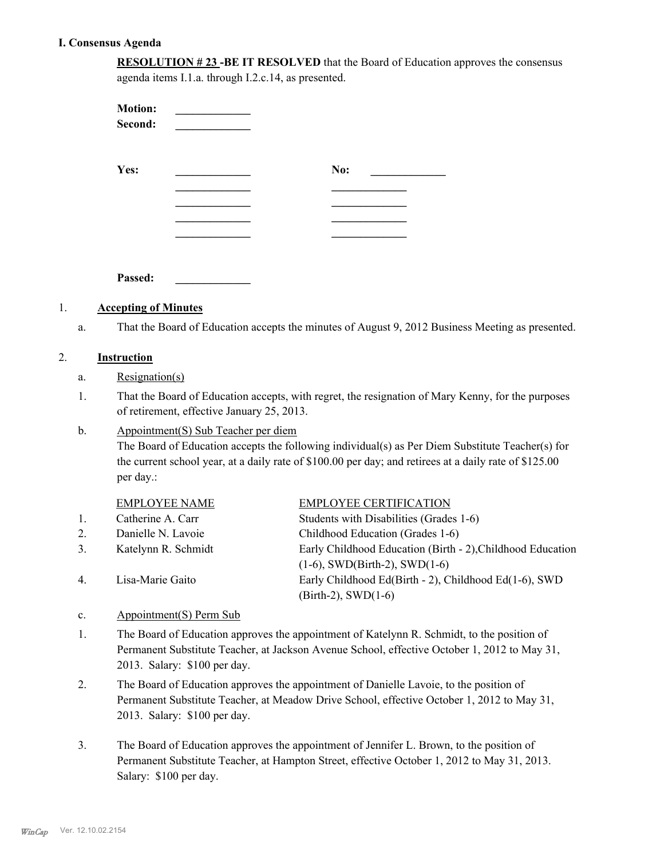## **I. Consensus Agenda**

| <b>RESOLUTION #23 -BE IT RESOLVED</b> that the Board of Education approves the consensus |
|------------------------------------------------------------------------------------------|
| agenda items I.1.a. through I.2.c.14, as presented.                                      |

|    |    | <b>Motion:</b><br>Second:   |                                                                                                                                                 |  |     |                                                                                                  |
|----|----|-----------------------------|-------------------------------------------------------------------------------------------------------------------------------------------------|--|-----|--------------------------------------------------------------------------------------------------|
|    |    | Yes:                        |                                                                                                                                                 |  | No: |                                                                                                  |
|    |    |                             |                                                                                                                                                 |  |     |                                                                                                  |
|    |    |                             |                                                                                                                                                 |  |     |                                                                                                  |
|    |    | Passed:                     |                                                                                                                                                 |  |     |                                                                                                  |
| 1. |    | <b>Accepting of Minutes</b> |                                                                                                                                                 |  |     |                                                                                                  |
|    | a. |                             |                                                                                                                                                 |  |     | That the Board of Education accepts the minutes of August 9, 2012 Business Meeting as presented. |
| 2. |    | <b>Instruction</b>          |                                                                                                                                                 |  |     |                                                                                                  |
|    | a. | Resignation(s)              |                                                                                                                                                 |  |     |                                                                                                  |
|    | 1. |                             | That the Board of Education accepts, with regret, the resignation of Mary Kenny, for the purposes<br>of retirement, effective January 25, 2013. |  |     |                                                                                                  |
|    | b. |                             | Appointment(S) Sub Teacher per diem                                                                                                             |  |     | The Board of Education accepts the following individual(s) as Per Diem Substitute Teacher(s) for |

# Ibstitute Teacher(s) for the current school year, at a daily rate of \$100.00 per day; and retirees at a daily rate of \$125.00 per day.:

|                | <b>EMPLOYEE NAME</b> | <b>EMPLOYEE CERTIFICATION</b>                              |
|----------------|----------------------|------------------------------------------------------------|
| $1_{\cdot}$    | Catherine A. Carr    | Students with Disabilities (Grades 1-6)                    |
| 2.             | Danielle N. Lavoie   | Childhood Education (Grades 1-6)                           |
| 3 <sub>1</sub> | Katelynn R. Schmidt  | Early Childhood Education (Birth - 2), Childhood Education |
|                |                      | $(1-6)$ , SWD $(Birth-2)$ , SWD $(1-6)$                    |
| $4_{\cdot}$    | Lisa-Marie Gaito     | Early Childhood Ed(Birth - 2), Childhood Ed(1-6), SWD      |
|                |                      | $(Birth-2)$ , SWD $(1-6)$                                  |

## c. Appointment(S) Perm Sub

- The Board of Education approves the appointment of Katelynn R. Schmidt, to the position of Permanent Substitute Teacher, at Jackson Avenue School, effective October 1, 2012 to May 31, 2013. Salary: \$100 per day. 1.
- The Board of Education approves the appointment of Danielle Lavoie, to the position of Permanent Substitute Teacher, at Meadow Drive School, effective October 1, 2012 to May 31, 2013. Salary: \$100 per day. 2.
- The Board of Education approves the appointment of Jennifer L. Brown, to the position of Permanent Substitute Teacher, at Hampton Street, effective October 1, 2012 to May 31, 2013. Salary: \$100 per day. 3.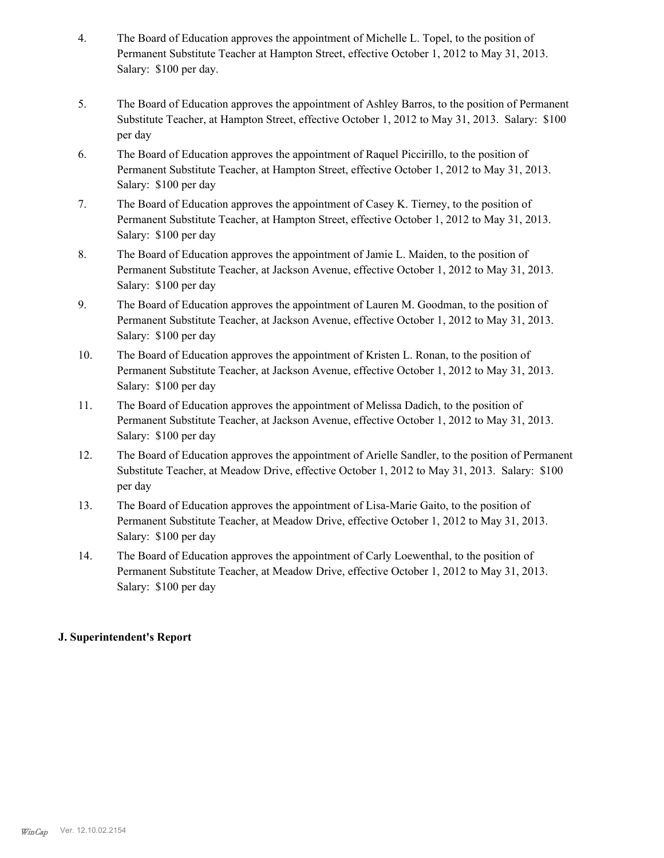- The Board of Education approves the appointment of Michelle L. Topel, to the position of Permanent Substitute Teacher at Hampton Street, effective October 1, 2012 to May 31, 2013. Salary: \$100 per day. 4.
- The Board of Education approves the appointment of Ashley Barros, to the position of Permanent Substitute Teacher, at Hampton Street, effective October 1, 2012 to May 31, 2013. Salary: \$100 per day 5.
- The Board of Education approves the appointment of Raquel Piccirillo, to the position of Permanent Substitute Teacher, at Hampton Street, effective October 1, 2012 to May 31, 2013. Salary: \$100 per day 6.
- The Board of Education approves the appointment of Casey K. Tierney, to the position of Permanent Substitute Teacher, at Hampton Street, effective October 1, 2012 to May 31, 2013. Salary: \$100 per day 7.
- The Board of Education approves the appointment of Jamie L. Maiden, to the position of Permanent Substitute Teacher, at Jackson Avenue, effective October 1, 2012 to May 31, 2013. Salary: \$100 per day 8.
- The Board of Education approves the appointment of Lauren M. Goodman, to the position of Permanent Substitute Teacher, at Jackson Avenue, effective October 1, 2012 to May 31, 2013. Salary: \$100 per day 9.
- The Board of Education approves the appointment of Kristen L. Ronan, to the position of Permanent Substitute Teacher, at Jackson Avenue, effective October 1, 2012 to May 31, 2013. Salary: \$100 per day 10.
- The Board of Education approves the appointment of Melissa Dadich, to the position of Permanent Substitute Teacher, at Jackson Avenue, effective October 1, 2012 to May 31, 2013. Salary: \$100 per day 11.
- The Board of Education approves the appointment of Arielle Sandler, to the position of Permanent Substitute Teacher, at Meadow Drive, effective October 1, 2012 to May 31, 2013. Salary: \$100 per day 12.
- The Board of Education approves the appointment of Lisa-Marie Gaito, to the position of Permanent Substitute Teacher, at Meadow Drive, effective October 1, 2012 to May 31, 2013. Salary: \$100 per day 13.
- The Board of Education approves the appointment of Carly Loewenthal, to the position of Permanent Substitute Teacher, at Meadow Drive, effective October 1, 2012 to May 31, 2013. Salary: \$100 per day 14.

## **J. Superintendent's Report**